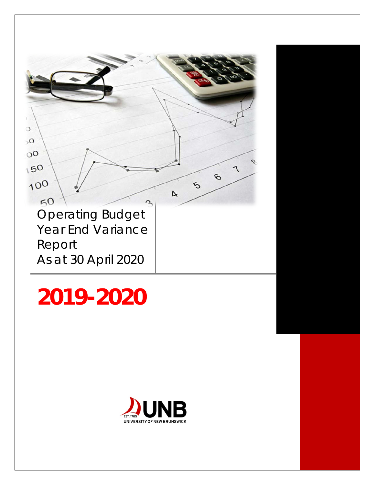

# **2019-2020**

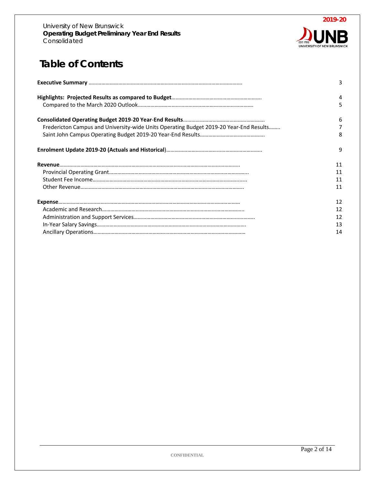

# **Table of Contents**

|                                                                                        | 3  |
|----------------------------------------------------------------------------------------|----|
|                                                                                        | 4  |
|                                                                                        | 5  |
|                                                                                        | 6  |
| Fredericton Campus and University-wide Units Operating Budget 2019-20 Year-End Results | 7  |
|                                                                                        | 8  |
|                                                                                        | 9  |
|                                                                                        | 11 |
|                                                                                        | 11 |
|                                                                                        | 11 |
|                                                                                        | 11 |
|                                                                                        | 12 |
|                                                                                        | 12 |
|                                                                                        | 12 |
|                                                                                        | 13 |
|                                                                                        | 14 |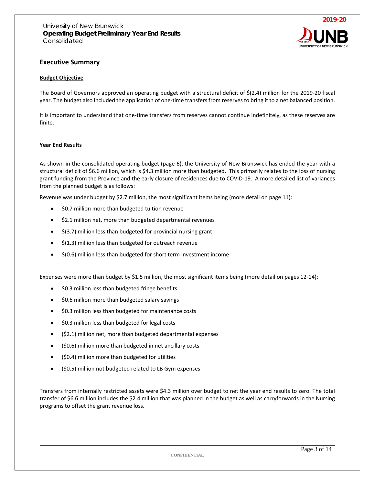

#### **Executive Summary**

#### **Budget Objective**

The Board of Governors approved an operating budget with a structural deficit of \$(2.4) million for the 2019-20 fiscal year. The budget also included the application of one-time transfers from reserves to bring it to a net balanced position.

It is important to understand that one-time transfers from reserves cannot continue indefinitely, as these reserves are finite.

#### **Year End Results**

As shown in the consolidated operating budget (page 6), the University of New Brunswick has ended the year with a structural deficit of \$6.6 million, which is \$4.3 million more than budgeted. This primarily relates to the loss of nursing grant funding from the Province and the early closure of residences due to COVID-19. A more detailed list of variances from the planned budget is as follows:

Revenue was under budget by \$2.7 million, the most significant items being (more detail on page 11):

- \$0.7 million more than budgeted tuition revenue
- \$2.1 million net, more than budgeted departmental revenues
- \$(3.7) million less than budgeted for provincial nursing grant
- \$(1.3) million less than budgeted for outreach revenue
- \$(0.6) million less than budgeted for short term investment income

Expenses were more than budget by \$1.5 million, the most significant items being (more detail on pages 12-14):

- \$0.3 million less than budgeted fringe benefits
- \$0.6 million more than budgeted salary savings
- \$0.3 million less than budgeted for maintenance costs
- \$0.3 million less than budgeted for legal costs
- (\$2.1) million net, more than budgeted departmental expenses
- (\$0.6) million more than budgeted in net ancillary costs
- (\$0.4) million more than budgeted for utilities
- (\$0.5) million not budgeted related to LB Gym expenses

Transfers from internally restricted assets were \$4.3 million over budget to net the year end results to zero. The total transfer of \$6.6 million includes the \$2.4 million that was planned in the budget as well as carryforwards in the Nursing programs to offset the grant revenue loss.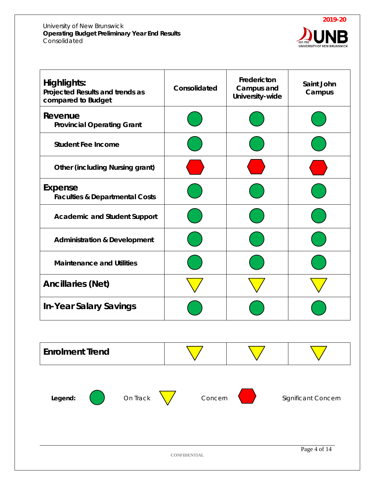#### University of New Brunswick **Operating Budget Preliminary Year End Results**  Consolidated



| Highlights:<br>Projected Results and trends as<br>compared to Budget | Consolidated | Fredericton<br>Campus and<br>University-wide | Saint John<br>Campus |
|----------------------------------------------------------------------|--------------|----------------------------------------------|----------------------|
| Revenue<br><b>Provincial Operating Grant</b>                         |              |                                              |                      |
| <b>Student Fee Income</b>                                            |              |                                              |                      |
| <b>Other (including Nursing grant)</b>                               |              |                                              |                      |
| Expense<br><b>Faculties &amp; Departmental Costs</b>                 |              |                                              |                      |
| <b>Academic and Student Support</b>                                  |              |                                              |                      |
| <b>Administration &amp; Development</b>                              |              |                                              |                      |
| <b>Maintenance and Utilities</b>                                     |              |                                              |                      |
| <b>Ancillaries (Net)</b>                                             |              |                                              |                      |
| <b>In-Year Salary Savings</b>                                        |              |                                              |                      |

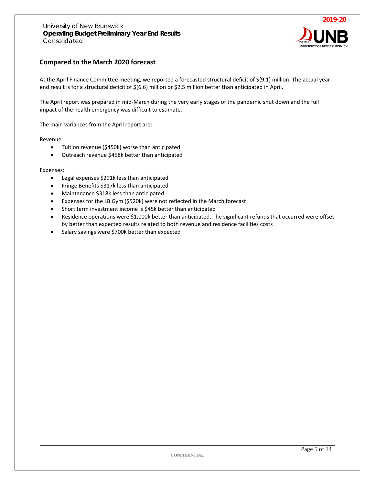

#### **Compared to the March 2020 forecast**

At the April Finance Committee meeting, we reported a forecasted structural deficit of \$(9.1) million. The actual yearend result is for a structural deficit of \$(6.6) million or \$2.5 million better than anticipated in April.

The April report was prepared in mid-March during the very early stages of the pandemic shut down and the full impact of the health emergency was difficult to estimate.

The main variances from the April report are:

Revenue:

- Tuition revenue (\$450k) worse than anticipated
- Outreach revenue \$458k better than anticipated

Expenses:

- Legal expenses \$291k less than anticipated
- Fringe Benefits \$317k less than anticipated
- Maintenance \$318k less than anticipated
- Expenses for the LB Gym (\$520k) were not reflected in the March forecast
- Short term investment income is \$45k better than anticipated
- Residence operations were \$1,000k better than anticipated. The significant refunds that occurred were offset by better than expected results related to both revenue and residence facilities costs
- Salary savings were \$700k better than expected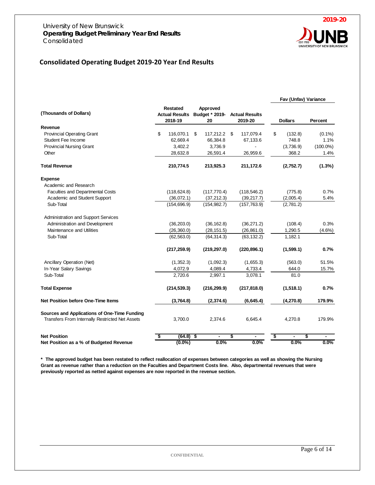

## **Consolidated Operating Budget 2019-20 Year End Results**

|                                                 |    |                                              |    |                                  |    |                                  |    | Fav (Unfav) Variance |             |
|-------------------------------------------------|----|----------------------------------------------|----|----------------------------------|----|----------------------------------|----|----------------------|-------------|
| (Thousands of Dollars)                          |    | Restated<br><b>Actual Results</b><br>2018-19 |    | Approved<br>Budget * 2019-<br>20 |    | <b>Actual Results</b><br>2019-20 |    | <b>Dollars</b>       | Percent     |
| Revenue                                         |    |                                              |    |                                  |    |                                  |    |                      |             |
| <b>Provincial Operating Grant</b>               | \$ | 116,070.1                                    | \$ | 117,212.2 \$                     |    | 117,079.4                        | \$ | (132.8)              | $(0.1\%)$   |
| Student Fee Income                              |    | 62,669.4                                     |    | 66,384.8                         |    | 67,133.6                         |    | 748.8                | 1.1%        |
| <b>Provincial Nursing Grant</b>                 |    | 3,402.2                                      |    | 3,736.9                          |    |                                  |    | (3,736.9)            | $(100.0\%)$ |
| Other                                           |    | 28,632.8                                     |    | 26,591.4                         |    | 26,959.6                         |    | 368.2                | 1.4%        |
| <b>Total Revenue</b>                            |    | 210,774.5                                    |    | 213,925.3                        |    | 211,172.6                        |    | (2,752.7)            | $(1.3\%)$   |
| <b>Expense</b>                                  |    |                                              |    |                                  |    |                                  |    |                      |             |
| Academic and Research                           |    |                                              |    |                                  |    |                                  |    |                      |             |
| <b>Faculties and Departmental Costs</b>         |    | (118, 624.8)                                 |    | (117, 770.4)                     |    | (118, 546.2)                     |    | (775.8)              | 0.7%        |
| Academic and Student Support                    |    | (36,072.1)                                   |    | (37, 212.3)                      |    | (39, 217.7)                      |    | (2,005.4)            | 5.4%        |
| Sub-Total                                       |    | (154, 696.9)                                 |    | (154, 982.7)                     |    | (157, 763.9)                     |    | (2,781.2)            |             |
| Administration and Support Services             |    |                                              |    |                                  |    |                                  |    |                      |             |
| Administration and Development                  |    | (36, 203.0)                                  |    | (36, 162.8)                      |    | (36, 271.2)                      |    | (108.4)              | 0.3%        |
| Maintenance and Utilities                       |    | (26, 360.0)                                  |    | (28, 151.5)                      |    | (26, 861.0)                      |    | 1,290.5              | $(4.6\%)$   |
| Sub-Total                                       |    | (62, 563.0)                                  |    | (64, 314.3)                      |    | (63, 132.2)                      |    | 1,182.1              |             |
|                                                 |    | (217, 259.9)                                 |    | (219, 297.0)                     |    | (220, 896.1)                     |    | (1,599.1)            | 0.7%        |
| Ancillary Operation (Net)                       |    | (1,352.3)                                    |    | (1,092.3)                        |    | (1,655.3)                        |    | (563.0)              | 51.5%       |
| In-Year Salary Savings                          |    | 4,072.9                                      |    | 4,089.4                          |    | 4,733.4                          |    | 644.0                | 15.7%       |
| Sub-Total                                       |    | 2,720.6                                      |    | 2,997.1                          |    | 3,078.1                          |    | 81.0                 |             |
| <b>Total Expense</b>                            |    | (214, 539.3)                                 |    | (216, 299.9)                     |    | (217, 818.0)                     |    | (1,518.1)            | 0.7%        |
| Net Position before One-Time Items              |    | (3,764.8)                                    |    | (2, 374.6)                       |    | (6,645.4)                        |    | (4, 270.8)           | 179.9%      |
| Sources and Applications of One-Time Funding    |    |                                              |    |                                  |    |                                  |    |                      |             |
| Transfers From Internally Restricted Net Assets |    | 3.700.0                                      |    | 2.374.6                          |    | 6.645.4                          |    | 4.270.8              | 179.9%      |
| <b>Net Position</b>                             | \$ | (64.8)                                       | \$ |                                  | \$ |                                  | \$ |                      | \$          |
| Net Position as a % of Budgeted Revenue         |    | $(0.0\%)$                                    |    | 0.0%                             |    | 0.0%                             |    | 0.0%                 | 0.0%        |

**\* The approved budget has been restated to reflect reallocation of expenses between categories as well as showing the Nursing Grant as revenue rather than a reduction on the Faculties and Department Costs line. Also, departmental revenues that were previously reported as netted against expenses are now reported in the revenue section.**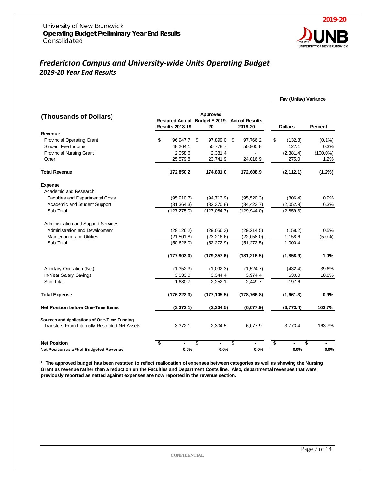

**Fav (Unfav) Variance** 

# *Fredericton Campus and University-wide Units Operating Budget 2019-20 Year End Results*

#### **(Thousands of Dollars) Results 2018-19 Approved Budget \* 2019- Actual Results 20 2019-20 Dollars Percent Revenue** Provincial Operating Grant \$ 96,947.7 \$ 97,899.0 \$ 97,766.2 \$ (132.8) (0.1%) Student Fee Income 10.3% **48,264.1** 50,778.7 50,905.8 127.1 0.3% Provincial Nursing Grant 2,058.6 2,381.4 - (2,381.4 (100.0%) Other 25,579.8 23,741.9 24,016.9 275.0 1.2% **Total Revenue 172,850.2 174,801.0 172,688.9 (2,112.1) (1.2%) Expense** Academic and Research Faculties and Departmental Costs (95,910.7) (94,713.9) (95,520.3) (806.4) 0.9% Academic and Student Support (31,364.3) (32,370.8) (34,423.7) (2,052.9) 6.3% Sub-Total (127,275.0) (127,084.7) (129,944.0) (2,859.3) Administration and Support Services Administration and Development (29,126.2) (29,056.3) (29,214.5) (158.2) 0.5% Maintenance and Utilities (21,501.8) (23,216.6) (22,058.0) 1,158.6 (5.0%) Sub-Total (50,628.0) (52,272.9) (51,272.5) 1,000.4  **(177,903.0) (179,357.6) (181,216.5) (1,858.9) 1.0%** Ancillary Operation (Net) (1,352.3) (1,092.3) (1,624.7) (432.4) 39.6% In-Year Salary Savings 2008 18.8% 3,033.0 3,344.4 3,974.4 630.0 18.8% Sub-Total 1,680.7 2,252.1 2,449.7 197.6 **Total Expense (176,222.3) (177,105.5) (178,766.8) (1,661.3) 0.9% Net Position before One-Time Items (3,372.1) (2,304.5) (6,077.9) (3,773.4) 163.7% Sources and Applications of One-Time Funding** Transfers From Internally Restricted Net Assets 3,372.1 2,304.5 6,077.9 3,773.4 163.7% **Net Position \$ - \$ - \$ - \$ - \$ - Net Position as a % of Budgeted Revenue 0.0% 0.0% 0.0% 0.0% 0.0%**

**\* The approved budget has been restated to reflect reallocation of expenses between categories as well as showing the Nursing Grant as revenue rather than a reduction on the Faculties and Department Costs line. Also, departmental revenues that were previously reported as netted against expenses are now reported in the revenue section.**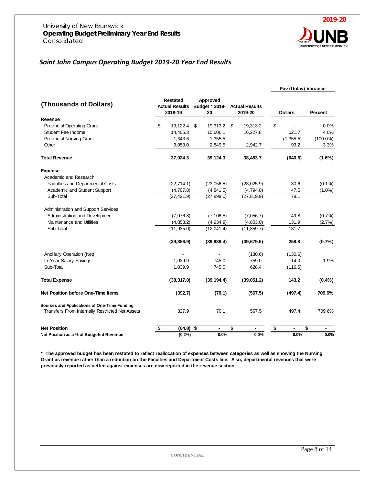

## *Saint John Campus Operating Budget 2019-20 Year End Results*

|                                                 |                                                     |                                  |                                  | Fav (Unfav) Variance |             |
|-------------------------------------------------|-----------------------------------------------------|----------------------------------|----------------------------------|----------------------|-------------|
| (Thousands of Dollars)                          | <b>Restated</b><br><b>Actual Results</b><br>2018-19 | Approved<br>Budget * 2019-<br>20 | <b>Actual Results</b><br>2019-20 | <b>Dollars</b>       | Percent     |
| Revenue                                         |                                                     |                                  |                                  |                      |             |
| <b>Provincial Operating Grant</b>               | \$<br>19,122.4 \$                                   | 19,313.2                         | \$<br>19,313.2                   | \$                   | 0.0%        |
| <b>Student Fee Income</b>                       | 14,405.3                                            | 15,606.1                         | 16,227.8                         | 621.7                | 4.0%        |
| <b>Provincial Nursing Grant</b>                 | 1,343.6                                             | 1,355.5                          |                                  | (1,355.5)            | $(100.0\%)$ |
| Other                                           | 3,053.0                                             | 2,849.5                          | 2,942.7                          | 93.2                 | 3.3%        |
| <b>Total Revenue</b>                            | 37,924.3                                            | 39,124.3                         | 38,483.7                         | (640.6)              | $(1.6\%)$   |
| <b>Expense</b>                                  |                                                     |                                  |                                  |                      |             |
| Academic and Research                           |                                                     |                                  |                                  |                      |             |
| <b>Faculties and Departmental Costs</b>         | (22, 714.1)                                         | (23,056.5)                       | (23,025.9)                       | 30.6                 | $(0.1\%)$   |
| Academic and Student Support                    | (4,707.8)                                           | (4,841.5)                        | (4,794.0)                        | 47.5                 | $(1.0\%)$   |
| Sub-Total                                       | (27, 421.9)                                         | (27, 898.0)                      | (27, 819.9)                      | 78.1                 |             |
| Administration and Support Services             |                                                     |                                  |                                  |                      |             |
| Administration and Development                  | (7,076.8)                                           | (7, 106.5)                       | (7,056.7)                        | 49.8                 | (0.7%       |
| Maintenance and Utilities                       | (4,858.2)                                           | (4,934.9)                        | (4,803.0)                        | 131.9                | (2.7%)      |
| Sub-Total                                       | (11, 935.0)                                         | (12,041.4)                       | (11, 859.7)                      | 181.7                |             |
|                                                 | (39, 356.9)                                         | (39, 939.4)                      | (39,679.6)                       | 259.8                | (0.7%       |
| Ancillary Operation (Net)                       |                                                     |                                  | (130.6)                          | (130.6)              |             |
| In-Year Salary Savings                          | 1,039.9                                             | 745.0                            | 759.0                            | 14.0                 | 1.9%        |
| Sub-Total                                       | 1,039.9                                             | 745.0                            | 628.4                            | (116.6)              |             |
| <b>Total Expense</b>                            | (38, 317.0)                                         | (39, 194.4)                      | (39,051.2)                       | 143.2                | (0.4% )     |
| <b>Net Position before One-Time Items</b>       | (392.7)                                             | (70.1)                           | (567.5)                          | (497.4)              | 709.6%      |
| Sources and Applications of One-Time Funding    |                                                     |                                  |                                  |                      |             |
| Transfers From Internally Restricted Net Assets | 327.9                                               | 70.1                             | 567.5                            | 497.4                | 709.6%      |
| <b>Net Position</b>                             | (64.8)<br>\$                                        | \$<br>$\blacksquare$             | \$                               | \$                   | \$          |
| Net Position as a % of Budgeted Revenue         | (0.2%)                                              | 0.0%                             | 0.0%                             | 0.0%                 | 0.0%        |

**\* The approved budget has been restated to reflect reallocation of expenses between categories as well as showing the Nursing Grant as revenue rather than a reduction on the Faculties and Department Costs line. Also, departmental revenues that were previously reported as netted against expenses are now reported in the revenue section.**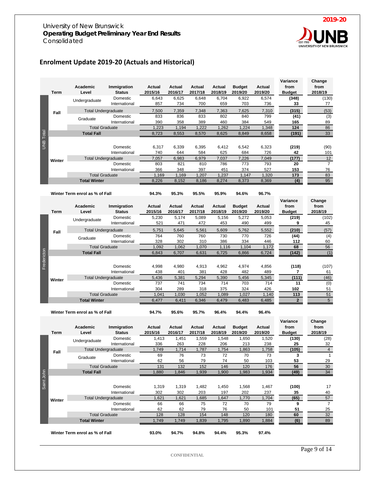

# **Enrolment Update 2019-20 (Actuals and Historical)**

| <b>UNB</b> Total | Term<br>Fall<br>Winter | Academic<br>Level<br>Undergraduate<br><b>Total Undergraduate</b><br>Graduate<br><b>Total Graduate</b><br><b>Total Fall</b><br><b>Total Undergraduate</b><br><b>Total Graduate</b> | Immigration<br><b>Status</b><br>Domestic<br>International<br>Domestic<br>International<br>Domestic<br>International<br>Domestic<br>International | Actual<br>2015/16<br>6,643<br>857<br>7,500<br>833<br>390<br>1,223<br>8,723<br>6,317<br>740<br>7,057<br>803<br>366<br>1,169 | Actual<br>2016/17<br>6,625<br>734<br>7,359<br>836<br>358<br>1,194<br>8,553<br>6,339<br>644<br>6,983<br>821<br>348<br>1,169 | Actual<br>2017/18<br>6,648<br>700<br>7,348<br>833<br>389<br>1,222<br>8,570<br>6,395<br>584<br>6,979<br>810<br>397<br>1,207 | Actual<br>2018/19<br>6,704<br>659<br>7,363<br>802<br>460<br>1,262<br>8,625<br>6,412<br>625<br>7,037<br>786<br>451<br>1,237 | <b>Budget</b><br>2019/20<br>6,922<br>703<br>7,625<br>840<br>384<br>1,224<br>8,849<br>6,542<br>684<br>7,226<br>773<br>374<br>1,147 | Actual<br>2019/20<br>6,574<br>736<br>7,310<br>799<br>549<br>1,348<br>8,658<br>6,323<br>726<br>7,049<br>793<br>527<br>1,320 | Variance<br>from<br><b>Budget</b><br>(348)<br>33<br>(315)<br>(41)<br>165<br>124<br>(191)<br>(219)<br>42<br>(177)<br>20<br>153<br>173 | Change<br>from<br>2018/19<br>(130)<br>77<br>(53)<br>(3)<br>89<br>86<br>33<br>(90)<br>101<br>12<br>$\overline{7}$<br>76<br>83 |
|------------------|------------------------|-----------------------------------------------------------------------------------------------------------------------------------------------------------------------------------|--------------------------------------------------------------------------------------------------------------------------------------------------|----------------------------------------------------------------------------------------------------------------------------|----------------------------------------------------------------------------------------------------------------------------|----------------------------------------------------------------------------------------------------------------------------|----------------------------------------------------------------------------------------------------------------------------|-----------------------------------------------------------------------------------------------------------------------------------|----------------------------------------------------------------------------------------------------------------------------|--------------------------------------------------------------------------------------------------------------------------------------|------------------------------------------------------------------------------------------------------------------------------|
|                  |                        | <b>Total Winter</b>                                                                                                                                                               |                                                                                                                                                  | 8,226                                                                                                                      | 8,152                                                                                                                      | 8,186                                                                                                                      | 8,274                                                                                                                      | 8,373                                                                                                                             | 8,369                                                                                                                      | (4)                                                                                                                                  | 95                                                                                                                           |
|                  |                        | Winter Term enrol as % of Fall                                                                                                                                                    |                                                                                                                                                  | 94.3%                                                                                                                      | 95.3%                                                                                                                      | 95.5%                                                                                                                      | 95.9%                                                                                                                      | 94.6%                                                                                                                             | 96.7%                                                                                                                      |                                                                                                                                      |                                                                                                                              |
|                  | <b>Term</b>            | <b>Academic</b><br>Level                                                                                                                                                          | Immigration<br><b>Status</b>                                                                                                                     | <b>Actual</b><br>2015/16                                                                                                   | Actual<br>2016/17                                                                                                          | Actual<br>2017/18                                                                                                          | Actual<br>2018/19                                                                                                          | <b>Budget</b><br>2019/20                                                                                                          | Actual<br>2019/20                                                                                                          | Variance<br>from<br><b>Budget</b>                                                                                                    | Change<br>from<br>2018/19                                                                                                    |
|                  |                        | Undergraduate                                                                                                                                                                     | Domestic<br>International                                                                                                                        | 5,230<br>521                                                                                                               | 5,174<br>471                                                                                                               | 5,089<br>472                                                                                                               | 5,156<br>453                                                                                                               | 5,272<br>490                                                                                                                      | 5,053<br>499                                                                                                               | (219)<br>9                                                                                                                           | (102)<br>45                                                                                                                  |
|                  | Fall                   | <b>Total Undergraduate</b>                                                                                                                                                        |                                                                                                                                                  | 5,751                                                                                                                      | 5,645                                                                                                                      | 5,561                                                                                                                      | 5,609                                                                                                                      | 5,762                                                                                                                             | 5,552                                                                                                                      | (210)                                                                                                                                | (57)                                                                                                                         |
|                  |                        | Graduate                                                                                                                                                                          | Domestic<br>International                                                                                                                        | 764<br>328                                                                                                                 | 760<br>302                                                                                                                 | 760<br>310                                                                                                                 | 730<br>386                                                                                                                 | 770<br>334                                                                                                                        | 726<br>446                                                                                                                 | (44)<br>112                                                                                                                          | (4)<br>60                                                                                                                    |
|                  |                        | <b>Total Graduate</b>                                                                                                                                                             |                                                                                                                                                  | 1,092                                                                                                                      | 1,062                                                                                                                      | 1,070                                                                                                                      | 1,116                                                                                                                      | 1,104                                                                                                                             | 1,172                                                                                                                      | 68                                                                                                                                   | 56                                                                                                                           |
|                  |                        | <b>Total Fall</b>                                                                                                                                                                 |                                                                                                                                                  | 6,843                                                                                                                      | 6,707                                                                                                                      | 6,631                                                                                                                      | 6,725                                                                                                                      | 6,866                                                                                                                             | 6,724                                                                                                                      | (142)                                                                                                                                | (1)                                                                                                                          |
| Fredericton      | Winter                 | <b>Total Undergraduate</b><br><b>Total Graduate</b><br><b>Total Winter</b>                                                                                                        | Domestic<br>International<br>Domestic<br>International                                                                                           | 4,998<br>438<br>5,436<br>737<br>304<br>1,041<br>6,477                                                                      | 4,980<br>401<br>5,381<br>741<br>289<br>1,030<br>6,411                                                                      | 4,913<br>381<br>5,294<br>734<br>318<br>1,052<br>6,346                                                                      | 4,962<br>428<br>5,390<br>714<br>375<br>1,089<br>6,479                                                                      | 4,974<br>482<br>5,456<br>703<br>324<br>1,027<br>6,483                                                                             | 4,856<br>489<br>5,345<br>714<br>426<br>1,140<br>6,485                                                                      | (118)<br>7<br>(111)<br>11<br>102<br>113<br>$\mathbf{2}$                                                                              | (107)<br>61<br>(46)<br>(0)<br>51<br>51<br>$5\overline{)}$                                                                    |
|                  |                        | Winter Term enrol as % of Fall                                                                                                                                                    |                                                                                                                                                  | 94.7%                                                                                                                      | 95.6%                                                                                                                      | 95.7%                                                                                                                      | 96.4%                                                                                                                      | 94.4%                                                                                                                             | 96.4%                                                                                                                      |                                                                                                                                      |                                                                                                                              |
|                  | <b>Term</b>            | Academic<br>Level                                                                                                                                                                 | Immigration<br><b>Status</b>                                                                                                                     | <b>Actual</b><br>2015/16                                                                                                   | <b>Actual</b><br>2016/17                                                                                                   | Actual<br>2017/18                                                                                                          | <b>Actual</b><br>2018/19                                                                                                   | <b>Budget</b><br>2019/20                                                                                                          | Actual<br>2019/20                                                                                                          | Variance<br>from<br><b>Budget</b>                                                                                                    | Change<br>from<br>2018/19                                                                                                    |
|                  |                        | Undergraduate                                                                                                                                                                     | Domestic<br>International                                                                                                                        | 1,413<br>336                                                                                                               | 1,451<br>263                                                                                                               | 1,559<br>228                                                                                                               | 1,548<br>206                                                                                                               | 1,650<br>213                                                                                                                      | 1,520<br>238                                                                                                               | (130)<br>25                                                                                                                          | (28)<br>32                                                                                                                   |
|                  |                        | <b>Total Undergraduate</b>                                                                                                                                                        |                                                                                                                                                  | 1,749                                                                                                                      | 1,714                                                                                                                      | 1,787                                                                                                                      | 1,754                                                                                                                      | 1,863                                                                                                                             | 1,758                                                                                                                      | (105)                                                                                                                                | $\overline{4}$                                                                                                               |
|                  | Fall                   | Graduate                                                                                                                                                                          | Domestic                                                                                                                                         | pэ                                                                                                                         | $\sqrt{6}$                                                                                                                 | 73                                                                                                                         | 72                                                                                                                         | 70                                                                                                                                | 73                                                                                                                         | J.                                                                                                                                   | л.                                                                                                                           |
|                  |                        | <b>Total Graduate</b>                                                                                                                                                             | International                                                                                                                                    | 62<br>131                                                                                                                  | 56<br>132                                                                                                                  | 79<br>152                                                                                                                  | 74<br>146                                                                                                                  | 50<br>120                                                                                                                         | 103<br>176                                                                                                                 | 53<br>56                                                                                                                             | 29<br>30 <sup>°</sup>                                                                                                        |
|                  |                        | <b>Total Fall</b>                                                                                                                                                                 |                                                                                                                                                  | 1,880                                                                                                                      | 1,846                                                                                                                      | 1,939                                                                                                                      | 1,900                                                                                                                      | 1,983                                                                                                                             | 1,934                                                                                                                      | (49)                                                                                                                                 | 34                                                                                                                           |
| Saint John       | Winter                 | <b>Total Undergraduate</b><br><b>Total Graduate</b><br><b>Total Winter</b>                                                                                                        | Domestic<br>International<br>Domestic<br>International                                                                                           | 1,319<br>302<br>1,621<br>66<br>62<br>128<br>1,749                                                                          | 1,319<br>302<br>1,621<br>66<br>62<br>128<br>1,749                                                                          | 1,482<br>203<br>1,685<br>75<br>79<br>154<br>1,839                                                                          | 1,450<br>197<br>1,647<br>72<br>76<br>148<br>1,795                                                                          | 1,568<br>202<br>1,770<br>70<br>50<br>120<br>1,890                                                                                 | 1,467<br>237<br>1,704<br>79<br>101<br>180<br>1,884                                                                         | (100)<br>35<br>(65)<br>9<br>51<br>60<br>(6)                                                                                          | 17<br>40<br>57<br>$\overline{7}$<br>25<br>32 <sup>2</sup><br>89                                                              |
|                  |                        | Winter Term enrol as % of Fall                                                                                                                                                    |                                                                                                                                                  | 93.0%                                                                                                                      | 94.7%                                                                                                                      | 94.8%                                                                                                                      | 94.4%                                                                                                                      | 95.3%                                                                                                                             | 97.4%                                                                                                                      |                                                                                                                                      |                                                                                                                              |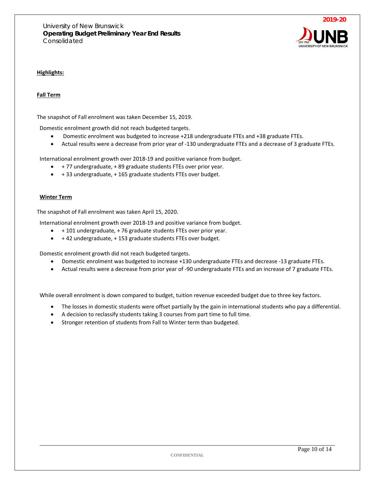

#### **Highlights:**

#### **Fall Term**

The snapshot of Fall enrolment was taken December 15, 2019.

Domestic enrolment growth did not reach budgeted targets.

- Domestic enrolment was budgeted to increase +218 undergraduate FTEs and +38 graduate FTEs.
- Actual results were a decrease from prior year of -130 undergraduate FTEs and a decrease of 3 graduate FTEs.

International enrolment growth over 2018-19 and positive variance from budget.

- + 77 undergraduate, + 89 graduate students FTEs over prior year.
- + 33 undergraduate, + 165 graduate students FTEs over budget.

#### **Winter Term**

The snapshot of Fall enrolment was taken April 15, 2020.

International enrolment growth over 2018-19 and positive variance from budget.

- + 101 undergraduate, + 76 graduate students FTEs over prior year.
- + 42 undergraduate, + 153 graduate students FTEs over budget.

Domestic enrolment growth did not reach budgeted targets.

- Domestic enrolment was budgeted to increase +130 undergraduate FTEs and decrease -13 graduate FTEs.
- Actual results were a decrease from prior year of -90 undergraduate FTEs and an increase of 7 graduate FTEs.

While overall enrolment is down compared to budget, tuition revenue exceeded budget due to three key factors.

- The losses in domestic students were offset partially by the gain in international students who pay a differential.
- A decision to reclassify students taking 3 courses from part time to full time.
- Stronger retention of students from Fall to Winter term than budgeted.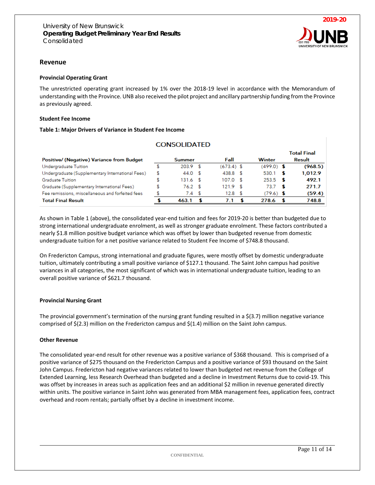

#### **Revenue**

#### **Provincial Operating Grant**

The unrestricted operating grant increased by 1% over the 2018-19 level in accordance with the Memorandum of understanding with the Province. UNB also received the pilot project and ancillary partnership funding from the Province as previously agreed.

#### **Student Fee Income**

#### **Table 1: Major Drivers of Variance in Student Fee Income**

|                                                  |    | <b>CONSOLIDATED</b> |      |                   |              |     |                    |
|--------------------------------------------------|----|---------------------|------|-------------------|--------------|-----|--------------------|
|                                                  |    |                     |      |                   |              |     | <b>Total Final</b> |
| Positive/ (Negative) Variance from Budget        |    | <b>Summer</b>       |      | Fall              | Winter       |     | Result             |
| Undergraduate Tuition                            | S  | $203.9$ \$          |      | $(673.4)$ \$      | $(499.0)$ \$ |     | (968.5)            |
| Undergraduate (Supplementary International Fees) | \$ | 44.0 S              |      | 438.8 \$          | 530.1        | - 5 | 1,012.9            |
| Graduate Tuition                                 | \$ | 131.6 \$            |      | $107.0$ \$        | $253.5$ \$   |     | 492.1              |
| Graduate (Supplementary International Fees)      | \$ | $76.2$ \$           |      | $121.9$ \$        | 73.7         | - S | 271.7              |
| Fee remissions, miscellaneous and forfeited fees | \$ | 7.4                 | - \$ | 12.8 <sup>5</sup> | $(79.6)$ \$  |     | (59.4)             |
| <b>Total Final Result</b>                        |    | 463.1               |      | 7.1               | 278.6        | - 5 | 748.8              |

As shown in Table 1 (above), the consolidated year-end tuition and fees for 2019-20 is better than budgeted due to strong international undergraduate enrolment, as well as stronger graduate enrolment. These factors contributed a nearly \$1.8 million positive budget variance which was offset by lower than budgeted revenue from domestic undergraduate tuition for a net positive variance related to Student Fee Income of \$748.8 thousand.

On Fredericton Campus, strong international and graduate figures, were mostly offset by domestic undergraduate tuition, ultimately contributing a small positive variance of \$127.1 thousand. The Saint John campus had positive variances in all categories, the most significant of which was in international undergraduate tuition, leading to an overall positive variance of \$621.7 thousand.

#### **Provincial Nursing Grant**

The provincial government's termination of the nursing grant funding resulted in a \$(3.7) million negative variance comprised of \$(2.3) million on the Fredericton campus and \$(1.4) million on the Saint John campus.

#### **Other Revenue**

The consolidated year-end result for other revenue was a positive variance of \$368 thousand. This is comprised of a positive variance of \$275 thousand on the Fredericton Campus and a positive variance of \$93 thousand on the Saint John Campus. Fredericton had negative variances related to lower than budgeted net revenue from the College of Extended Learning, less Research Overhead than budgeted and a decline in Investment Returns due to covid-19. This was offset by increases in areas such as application fees and an additional \$2 million in revenue generated directly within units. The positive variance in Saint John was generated from MBA management fees, application fees, contract overhead and room rentals; partially offset by a decline in investment income.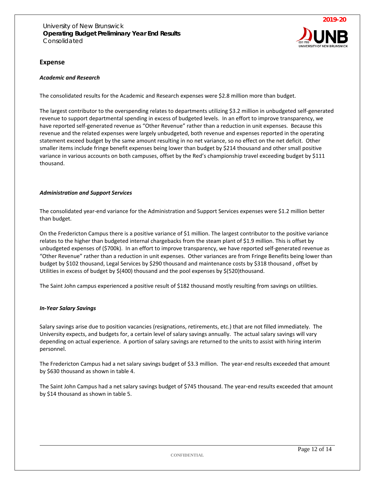

#### **Expense**

#### *Academic and Research*

The consolidated results for the Academic and Research expenses were \$2.8 million more than budget.

The largest contributor to the overspending relates to departments utilizing \$3.2 million in unbudgeted self-generated revenue to support departmental spending in excess of budgeted levels. In an effort to improve transparency, we have reported self-generated revenue as "Other Revenue" rather than a reduction in unit expenses. Because this revenue and the related expenses were largely unbudgeted, both revenue and expenses reported in the operating statement exceed budget by the same amount resulting in no net variance, so no effect on the net deficit. Other smaller items include fringe benefit expenses being lower than budget by \$214 thousand and other small positive variance in various accounts on both campuses, offset by the Red's championship travel exceeding budget by \$111 thousand.

#### *Administration and Support Services*

The consolidated year-end variance for the Administration and Support Services expenses were \$1.2 million better than budget.

On the Fredericton Campus there is a positive variance of \$1 million. The largest contributor to the positive variance relates to the higher than budgeted internal chargebacks from the steam plant of \$1.9 million. This is offset by unbudgeted expenses of (\$700k). In an effort to improve transparency, we have reported self-generated revenue as "Other Revenue" rather than a reduction in unit expenses. Other variances are from Fringe Benefits being lower than budget by \$102 thousand, Legal Services by \$290 thousand and maintenance costs by \$318 thousand , offset by Utilities in excess of budget by \$(400) thousand and the pool expenses by \$(520)thousand.

The Saint John campus experienced a positive result of \$182 thousand mostly resulting from savings on utilities.

#### *In-Year Salary Savings*

Salary savings arise due to position vacancies (resignations, retirements, etc.) that are not filled immediately. The University expects, and budgets for, a certain level of salary savings annually. The actual salary savings will vary depending on actual experience. A portion of salary savings are returned to the units to assist with hiring interim personnel.

The Fredericton Campus had a net salary savings budget of \$3.3 million. The year-end results exceeded that amount by \$630 thousand as shown in table 4.

The Saint John Campus had a net salary savings budget of \$745 thousand. The year-end results exceeded that amount by \$14 thousand as shown in table 5.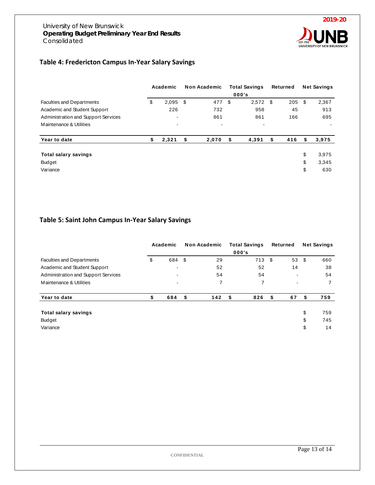

# **Table 4: Fredericton Campus In-Year Salary Savings**

|                                     | Academic                 |   | <b>Non Academic</b> | <b>Total Savings</b><br>000's |   | Returned | <b>Net Savings</b> |       |
|-------------------------------------|--------------------------|---|---------------------|-------------------------------|---|----------|--------------------|-------|
| <b>Faculties and Departments</b>    | \$<br>$2,095$ \$         |   | 477                 | \$<br>$2,572$ \$              |   | 205      | \$                 | 2,367 |
| Academic and Student Support        | 226                      |   | 732                 | 958                           |   | 45       |                    | 913   |
| Administration and Support Services | $\overline{\phantom{a}}$ |   | 861                 | 861                           |   | 166      |                    | 695   |
| Maintenance & Utilities             |                          |   | ٠                   | $\,$                          |   |          |                    |       |
| Year to date                        | \$<br>2,321              | S | 2,070               | \$<br>4,391                   | S | 416      | S                  | 3,975 |
| <b>Total salary savings</b>         |                          |   |                     |                               |   |          | \$                 | 3,975 |
| <b>Budget</b>                       |                          |   |                     |                               |   |          | \$                 | 3,345 |
| Variance                            |                          |   |                     |                               |   |          | \$                 | 630   |

# **Table 5: Saint John Campus In-Year Salary Savings**

|                                                                |    | Academic | <b>Non Academic</b> | <b>Total Savings</b><br>000's |      | Returned | <b>Net Savings</b> |     |
|----------------------------------------------------------------|----|----------|---------------------|-------------------------------|------|----------|--------------------|-----|
| <b>Faculties and Departments</b>                               | \$ | 684 \$   | 29                  | 713 \$                        |      | 53       | - \$               | 660 |
| Academic and Student Support                                   |    |          | 52                  | 52                            |      | 14       |                    | 38  |
| Administration and Support Services<br>Maintenance & Utilities |    |          | 54                  | 54                            | ۰    |          |                    | 54  |
|                                                                |    |          | 7                   | 7                             |      |          |                    |     |
| Year to date                                                   | \$ | 684      | \$<br>142           | 826<br>- \$                   | - \$ | 67       | S                  | 759 |
| Total salary savings                                           |    |          |                     |                               |      |          | \$                 | 759 |
| Budget                                                         |    |          |                     |                               |      |          | \$                 | 745 |
| Variance                                                       |    |          |                     |                               |      |          | \$                 | 14  |